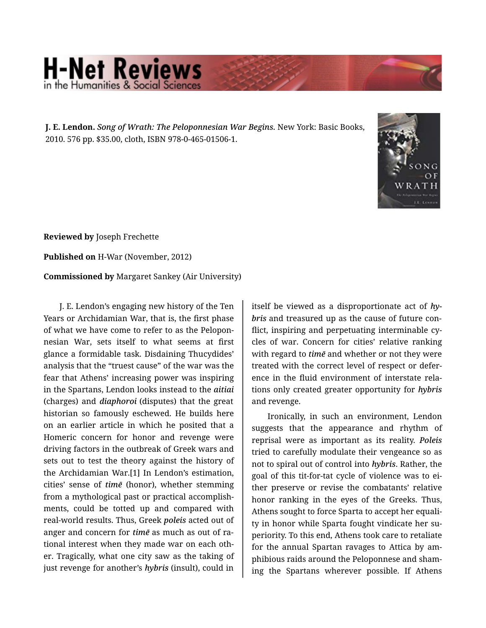## **H-Net Reviews** he Humanities & Social Scie

**J. E. Lendon.** *Song of Wrath: The Peloponnesian War Begins.* New York: Basic Books, 2010. 576 pp. \$35.00, cloth, ISBN 978-0-465-01506-1.



**Reviewed by** Joseph Frechette

**Published on** H-War (November, 2012)

**Commissioned by** Margaret Sankey (Air University)

J. E. Lendon's engaging new history of the Ten Years or Archidamian War, that is, the first phase of what we have come to refer to as the Pelopon‐ nesian War, sets itself to what seems at first glance a formidable task. Disdaining Thucydides' analysis that the "truest cause" of the war was the fear that Athens' increasing power was inspiring in the Spartans, Lendon looks instead to the *aitiai*  (charges) and *diaphoroi* (disputes) that the great historian so famously eschewed. He builds here on an earlier article in which he posited that a Homeric concern for honor and revenge were driving factors in the outbreak of Greek wars and sets out to test the theory against the history of the Archidamian War.[1] In Lendon's estimation, cities' sense of *timē* (honor), whether stemming from a mythological past or practical accomplish‐ ments, could be totted up and compared with real-world results. Thus, Greek *poleis* acted out of anger and concern for *timē* as much as out of ra‐ tional interest when they made war on each oth‐ er. Tragically, what one city saw as the taking of just revenge for another's *hybris* (insult), could in

itself be viewed as a disproportionate act of *hy‐ bris* and treasured up as the cause of future con‐ flict, inspiring and perpetuating interminable cy‐ cles of war. Concern for cities' relative ranking with regard to *timē* and whether or not they were treated with the correct level of respect or defer‐ ence in the fluid environment of interstate rela‐ tions only created greater opportunity for *hybris* and revenge.

Ironically, in such an environment, Lendon suggests that the appearance and rhythm of reprisal were as important as its reality. *Poleis* tried to carefully modulate their vengeance so as not to spiral out of control into *hybris*. Rather, the goal of this tit-for-tat cycle of violence was to ei‐ ther preserve or revise the combatants' relative honor ranking in the eyes of the Greeks. Thus, Athens sought to force Sparta to accept her equali‐ ty in honor while Sparta fought vindicate her su‐ periority. To this end, Athens took care to retaliate for the annual Spartan ravages to Attica by am‐ phibious raids around the Peloponnese and sham‐ ing the Spartans wherever possible. If Athens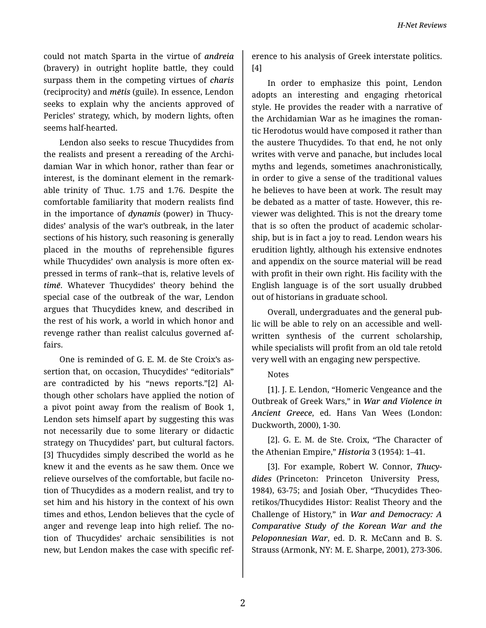could not match Sparta in the virtue of *andreia* (bravery) in outright hoplite battle, they could surpass them in the competing virtues of *charis* (reciprocity) and *mētis* (guile). In essence, Lendon seeks to explain why the ancients approved of Pericles' strategy, which, by modern lights, often seems half-hearted.

Lendon also seeks to rescue Thucydides from the realists and present a rereading of the Archi‐ damian War in which honor, rather than fear or interest, is the dominant element in the remark‐ able trinity of Thuc. 1.75 and 1.76. Despite the comfortable familiarity that modern realists find in the importance of *dynamis* (power) in Thucy‐ dides' analysis of the war's outbreak, in the later sections of his history, such reasoning is generally placed in the mouths of reprehensible figures while Thucydides' own analysis is more often expressed in terms of rank--that is, relative levels of *timē*. Whatever Thucydides' theory behind the special case of the outbreak of the war, Lendon argues that Thucydides knew, and described in the rest of his work, a world in which honor and revenge rather than realist calculus governed af‐ fairs.

One is reminded of G. E. M. de Ste Croix's as‐ sertion that, on occasion, Thucydides' "editorials" are contradicted by his "news reports."[2] Al‐ though other scholars have applied the notion of a pivot point away from the realism of Book 1, Lendon sets himself apart by suggesting this was not necessarily due to some literary or didactic strategy on Thucydides' part, but cultural factors. [3] Thucydides simply described the world as he knew it and the events as he saw them. Once we relieve ourselves of the comfortable, but facile no‐ tion of Thucydides as a modern realist, and try to set him and his history in the context of his own times and ethos, Lendon believes that the cycle of anger and revenge leap into high relief. The no‐ tion of Thucydides' archaic sensibilities is not new, but Lendon makes the case with specific ref‐

erence to his analysis of Greek interstate politics. [4]

In order to emphasize this point, Lendon adopts an interesting and engaging rhetorical style. He provides the reader with a narrative of the Archidamian War as he imagines the roman‐ tic Herodotus would have composed it rather than the austere Thucydides. To that end, he not only writes with verve and panache, but includes local myths and legends, sometimes anachronistically, in order to give a sense of the traditional values he believes to have been at work. The result may be debated as a matter of taste. However, this re‐ viewer was delighted. This is not the dreary tome that is so often the product of academic scholar‐ ship, but is in fact a joy to read. Lendon wears his erudition lightly, although his extensive endnotes and appendix on the source material will be read with profit in their own right. His facility with the English language is of the sort usually drubbed out of historians in graduate school.

Overall, undergraduates and the general pub‐ lic will be able to rely on an accessible and wellwritten synthesis of the current scholarship, while specialists will profit from an old tale retold very well with an engaging new perspective.

## Notes

[1]. J. E. Lendon, "Homeric Vengeance and the Outbreak of Greek Wars," in *War and Violence in Ancient Greece*, ed. Hans Van Wees (London: Duckworth, 2000), 1-30.

[2]. G. E. M. de Ste. Croix, "The Character of the Athenian Empire," *Historia* 3 (1954): 1–41.

[3]. For example, Robert W. Connor, *Thucy‐ dides* (Princeton: Princeton University Press, 1984), 63-75; and Josiah Ober, "Thucydides Theo‐ retikos/Thucydides Histor: Realist Theory and the Challenge of History," in *War and Democracy: A Comparative Study of the Korean War and the Peloponnesian War*, ed. D. R. McCann and B. S. Strauss (Armonk, NY: M. E. Sharpe, 2001), 273-306.